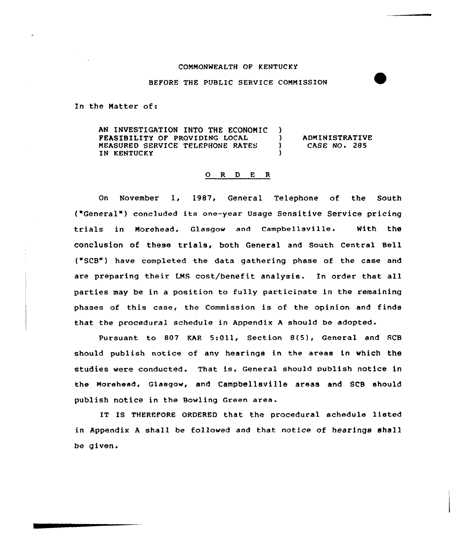## COMMONWEALTH OF KENTUCKY

## BEFORE THE PUBLIC SERVICE COMMISSION

In the Matter of:

AN INVESTIGATION INTO THE ECONOMIC ) **FEASIBILITY OF PROVIDING LOCAL** (1) MEASURED SERVICE TELEPHONE RATES IN KENTUCKY ADMINISTRATIVE CASE NO. 285

## 0 <sup>R</sup> <sup>D</sup> <sup>E</sup> <sup>R</sup>

On November 1, 1987, General Telephone of the South ("General" ) concluded its one-year Usage Sensitive Service pricing trials in Morehead, Glasgow and Campbellsville. With the conclusion of these trials, both General and south central Bell ("SCB") have completed the data gathering phase of the case and are preparing their LMS cost/benefit analysis. In order that all parties may be in a position to fully participate in the remaining phases of this case, the Commission is of the opinion and finds that the procedural schedule in Appendix <sup>A</sup> should be adopted.

Pursuant. to 807 KAR 5:Oll, Section 8(5), General and SCB should publish notice of any hearings in the areas in which the studies were conducted. That is, General should publish notice in the Mozehead, Glasgow, and Campbellsville areas and SCB should publish notice in the Bowling Green area.

IT IS THEREFORE ORDERED that the procedural schedule listed in Appendix <sup>A</sup> shall be followed and that notice of hearings shall be given.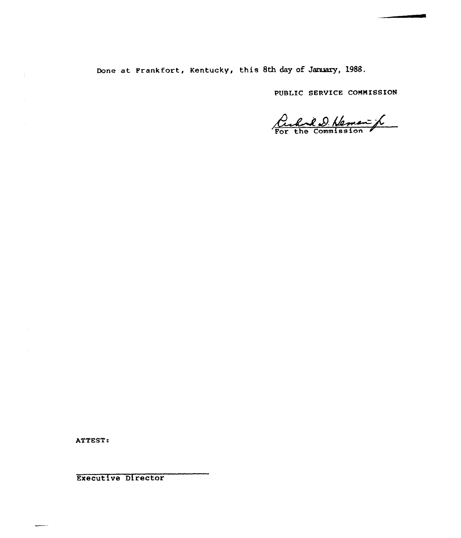Done at Frankfort, Kentucky, this 8th day of January, 1988.

PUBLIC SERVICE COMMISSION

Curril D. Neman f

ATTEST:

 $\frac{1}{2}$ 

Executive Director